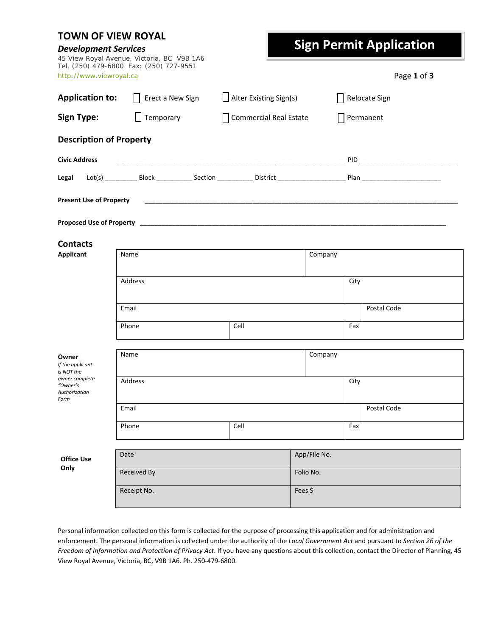| <b>TOWN OF VIEW ROYAL</b><br><b>Development Services</b> | 45 View Royal Avenue, Victoria, BC V9B 1A6 |                               |              | <b>Sign Permit Application</b> |  |
|----------------------------------------------------------|--------------------------------------------|-------------------------------|--------------|--------------------------------|--|
| http://www.viewroyal.ca                                  | Tel. (250) 479-6800 Fax: (250) 727-9551    |                               |              | Page 1 of 3                    |  |
| <b>Application to:</b>                                   | Erect a New Sign                           | $\Box$ Alter Existing Sign(s) | $\mathsf{L}$ | Relocate Sign                  |  |
| <b>Sign Type:</b>                                        | $\Box$ Temporary                           | Commercial Real Estate        | $\mathsf{L}$ | Permanent                      |  |
| <b>Description of Property</b>                           |                                            |                               |              |                                |  |
| <b>Civic Address</b>                                     |                                            |                               |              |                                |  |
| Legal                                                    |                                            |                               |              |                                |  |
| <b>Present Use of Property</b>                           |                                            |                               |              |                                |  |
|                                                          |                                            |                               |              |                                |  |
| <b>Contacts</b>                                          |                                            |                               |              |                                |  |
| Applicant                                                | Name                                       |                               | Company      |                                |  |
|                                                          | Address                                    |                               |              | City                           |  |
|                                                          | Email                                      |                               |              | Postal Code                    |  |
|                                                          | Phone                                      | Cell                          |              | Fax                            |  |
| Owner<br>If the applicant<br>is NOT the                  | Name                                       |                               | Company      |                                |  |
| owner complete<br>"Owner's<br>Authorization<br>Form      | Address                                    |                               |              | City                           |  |
|                                                          | Email                                      |                               |              | Postal Code                    |  |
|                                                          | Phone                                      | Cell                          |              | Fax                            |  |
| <b>Office Use</b>                                        | Date                                       |                               | App/File No. |                                |  |
| Only                                                     | <b>Received By</b>                         |                               | Folio No.    |                                |  |
|                                                          | Receipt No.                                |                               | Fees \$      |                                |  |

Personal information collected on this form is collected for the purpose of processing this application and for administration and enforcement. The personal information is collected under the authority of the *Local Government Act* and pursuant to *Section 26 of the Freedom of Information and Protection of Privacy Act*. If you have any questions about this collection, contact the Director of Planning, 45 View Royal Avenue, Victoria, BC, V9B 1A6. Ph. 250‐479‐6800.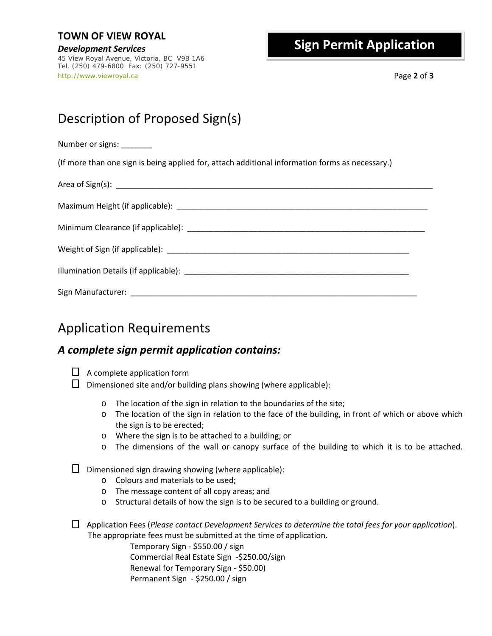*Development Services* 45 View Royal Avenue, Victoria, BC V9B 1A6 Tel. (250) 479-6800 Fax: (250) 727-9551 http://www.viewroyal.ca Page **2** of **3**

## **Sign Permit Application**

## Description of Proposed Sign(s)

Number or signs:

(If more than one sign is being applied for, attach additional information forms as necessary.)

| Illumination Details (if applicable): example and all the set of the set of the set of the set of the set of the set of the set of the set of the set of the set of the set of the set of the set of the set of the set of the |  |
|--------------------------------------------------------------------------------------------------------------------------------------------------------------------------------------------------------------------------------|--|
|                                                                                                                                                                                                                                |  |

## Application Requirements

## *A complete sign permit application contains:*

- $\Box$  A complete application form
- $\square$  Dimensioned site and/or building plans showing (where applicable):
	- o The location of the sign in relation to the boundaries of the site;
	- o The location of the sign in relation to the face of the building, in front of which or above which the sign is to be erected;
	- o Where the sign is to be attached to a building; or
	- $\circ$  The dimensions of the wall or canopy surface of the building to which it is to be attached.

 $\square$  Dimensioned sign drawing showing (where applicable):

- o Colours and materials to be used;
- o The message content of all copy areas; and
- o Structural details of how the sign is to be secured to a building or ground.
- Application Fees (*Please contact Development Services to determine the total fees for your application*). The appropriate fees must be submitted at the time of application.

Temporary Sign ‐ \$550.00 / sign Commercial Real Estate Sign ‐\$250.00/sign Renewal for Temporary Sign ‐ \$50.00) Permanent Sign - \$250.00 / sign